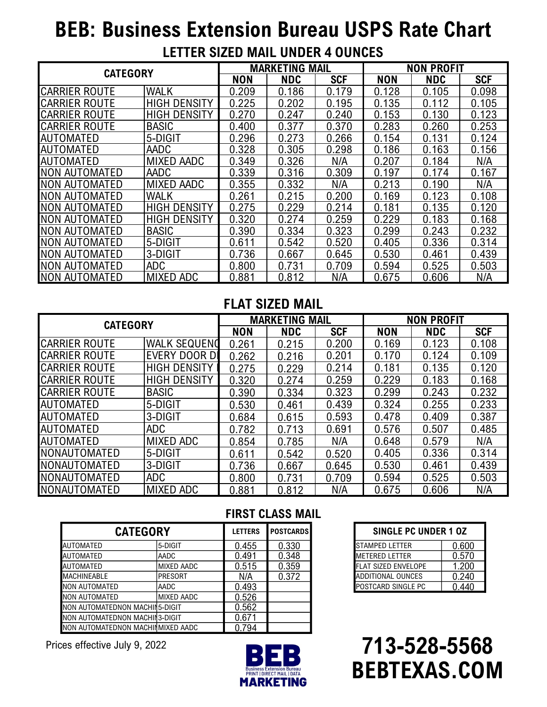# **BEB: Business Extension Bureau USPS Rate Chart**

| LETTER SIZED MAIL UNDER 4 OUNCES |  |  |
|----------------------------------|--|--|
|----------------------------------|--|--|

| <b>CATEGORY</b>      |                     | <b>MARKETING MAIL</b> |            |            | <b>NON PROFIT</b> |            |            |
|----------------------|---------------------|-----------------------|------------|------------|-------------------|------------|------------|
|                      |                     | <b>NON</b>            | <b>NDC</b> | <b>SCF</b> | <b>NON</b>        | <b>NDC</b> | <b>SCF</b> |
| <b>CARRIER ROUTE</b> | <b>WALK</b>         | 0.209                 | 0.186      | 0.179      | 0.128             | 0.105      | 0.098      |
| <b>CARRIER ROUTE</b> | <b>HIGH DENSITY</b> | 0.225                 | 0.202      | 0.195      | 0.135             | 0.112      | 0.105      |
| <b>CARRIER ROUTE</b> | <b>HIGH DENSITY</b> | 0.270                 | 0.247      | 0.240      | 0.153             | 0.130      | 0.123      |
| <b>CARRIER ROUTE</b> | <b>BASIC</b>        | 0.400                 | 0.377      | 0.370      | 0.283             | 0.260      | 0.253      |
| <b>AUTOMATED</b>     | 5-DIGIT             | 0.296                 | 0.273      | 0.266      | 0.154             | 0.131      | 0.124      |
| <b>AUTOMATED</b>     | AADC                | 0.328                 | 0.305      | 0.298      | 0.186             | 0.163      | 0.156      |
| <b>AUTOMATED</b>     | <b>MIXED AADC</b>   | 0.349                 | 0.326      | N/A        | 0.207             | 0.184      | N/A        |
| <b>NON AUTOMATED</b> | AADC                | 0.339                 | 0.316      | 0.309      | 0.197             | 0.174      | 0.167      |
| NON AUTOMATED        | <b>MIXED AADC</b>   | 0.355                 | 0.332      | N/A        | 0.213             | 0.190      | N/A        |
| NON AUTOMATED        | WALK                | 0.261                 | 0.215      | 0.200      | 0.169             | 0.123      | 0.108      |
| NON AUTOMATED        | <b>HIGH DENSITY</b> | 0.275                 | 0.229      | 0.214      | 0.181             | 0.135      | 0.120      |
| NON AUTOMATED        | <b>HIGH DENSITY</b> | 0.320                 | 0.274      | 0.259      | 0.229             | 0.183      | 0.168      |
| <b>NON AUTOMATED</b> | <b>BASIC</b>        | 0.390                 | 0.334      | 0.323      | 0.299             | 0.243      | 0.232      |
| NON AUTOMATED        | 5-DIGIT             | 0.611                 | 0.542      | 0.520      | 0.405             | 0.336      | 0.314      |
| NON AUTOMATED        | 3-DIGIT             | 0.736                 | 0.667      | 0.645      | 0.530             | 0.461      | 0.439      |
| <b>NON AUTOMATED</b> | <b>ADC</b>          | 0.800                 | 0.731      | 0.709      | 0.594             | 0.525      | 0.503      |
| <b>NON AUTOMATED</b> | <b>MIXED ADC</b>    | 0.881                 | 0.812      | N/A        | 0.675             | 0.606      | N/A        |

## **FLAT SIZED MAIL**

| <b>CATEGORY</b>       |                     | <b>MARKETING MAIL</b> |            |            | <b>NON PROFIT</b> |            |            |
|-----------------------|---------------------|-----------------------|------------|------------|-------------------|------------|------------|
|                       |                     | <b>NON</b>            | <b>NDC</b> | <b>SCF</b> | <b>NON</b>        | <b>NDC</b> | <b>SCF</b> |
| <b>CARRIER ROUTE</b>  | <b>WALK SEQUEND</b> | 0.261                 | 0.215      | 0.200      | 0.169             | 0.123      | 0.108      |
| <b>ICARRIER ROUTE</b> | EVERY DOOR DI       | 0.262                 | 0.216      | 0.201      | 0.170             | 0.124      | 0.109      |
| <b>CARRIER ROUTE</b>  | <b>HIGH DENSITY</b> | 0.275                 | 0.229      | 0.214      | 0.181             | 0.135      | 0.120      |
| <b>CARRIER ROUTE</b>  | <b>HIGH DENSITY</b> | 0.320                 | 0.274      | 0.259      | 0.229             | 0.183      | 0.168      |
| <b>ICARRIER ROUTE</b> | <b>BASIC</b>        | 0.390                 | 0.334      | 0.323      | 0.299             | 0.243      | 0.232      |
| <b>AUTOMATED</b>      | 5-DIGIT             | 0.530                 | 0.461      | 0.439      | 0.324             | 0.255      | 0.233      |
| <b>AUTOMATED</b>      | 3-DIGIT             | 0.684                 | 0.615      | 0.593      | 0.478             | 0.409      | 0.387      |
| <b>AUTOMATED</b>      | <b>ADC</b>          | 0.782                 | 0.713      | 0.691      | 0.576             | 0.507      | 0.485      |
| <b>AUTOMATED</b>      | <b>MIXED ADC</b>    | 0.854                 | 0.785      | N/A        | 0.648             | 0.579      | N/A        |
| <b>INONAUTOMATED</b>  | 5-DIGIT             | 0.611                 | 0.542      | 0.520      | 0.405             | 0.336      | 0.314      |
| INONAUTOMATED         | 3-DIGIT             | 0.736                 | 0.667      | 0.645      | 0.530             | 0.461      | 0.439      |
| <b>NONAUTOMATED</b>   | <b>ADC</b>          | 0.800                 | 0.731      | 0.709      | 0.594             | 0.525      | 0.503      |
| NONAUTOMATED          | MIXED ADC           | 0.881                 | 0.812      | N/A        | 0.675             | 0.606      | N/A        |

|                                   |                   |                | <b>FIRST CLASS MAIL</b> |
|-----------------------------------|-------------------|----------------|-------------------------|
| <b>CATEGORY</b>                   |                   | <b>LETTERS</b> | <b>POSTCARDS</b>        |
| AUTOMATED                         | 5-DIGIT           | 0.455          | 0.330                   |
| <b>AUTOMATED</b>                  | AADC              | 0.491          | 0.348                   |
| AUTOMATED                         | MIXED AADC        | 0.515          | 0.359                   |
| <b>MACHINEABLE</b>                | <b>PRESORT</b>    | N/A            | 0.372                   |
| NON AUTOMATED                     | AADC              | 0.493          |                         |
| NON AUTOMATED                     | <b>MIXED AADC</b> | 0.526          |                         |
| NON AUTOMATEDNON MACHIN5-DIGIT    |                   | 0.562          |                         |
| NON AUTOMATEDNON MACHING-DIGIT    |                   | 0.671          |                         |
| NON AUTOMATEDNON MACHINMIXED AADC |                   | 0.794          |                         |

Prices effective July 9, 2022



#### STAMPED LETTER 0.600 METERED LETTER 10.570 FLAT SIZED ENVELOPE | 1.200 ADDITIONAL OUNCES 0.240 POSTCARD SINGLE PC 0.440 **CATEGORY SINGLE PC UNDER 1 OZ**

**713-528-5568 BEBTEXAS.COM**